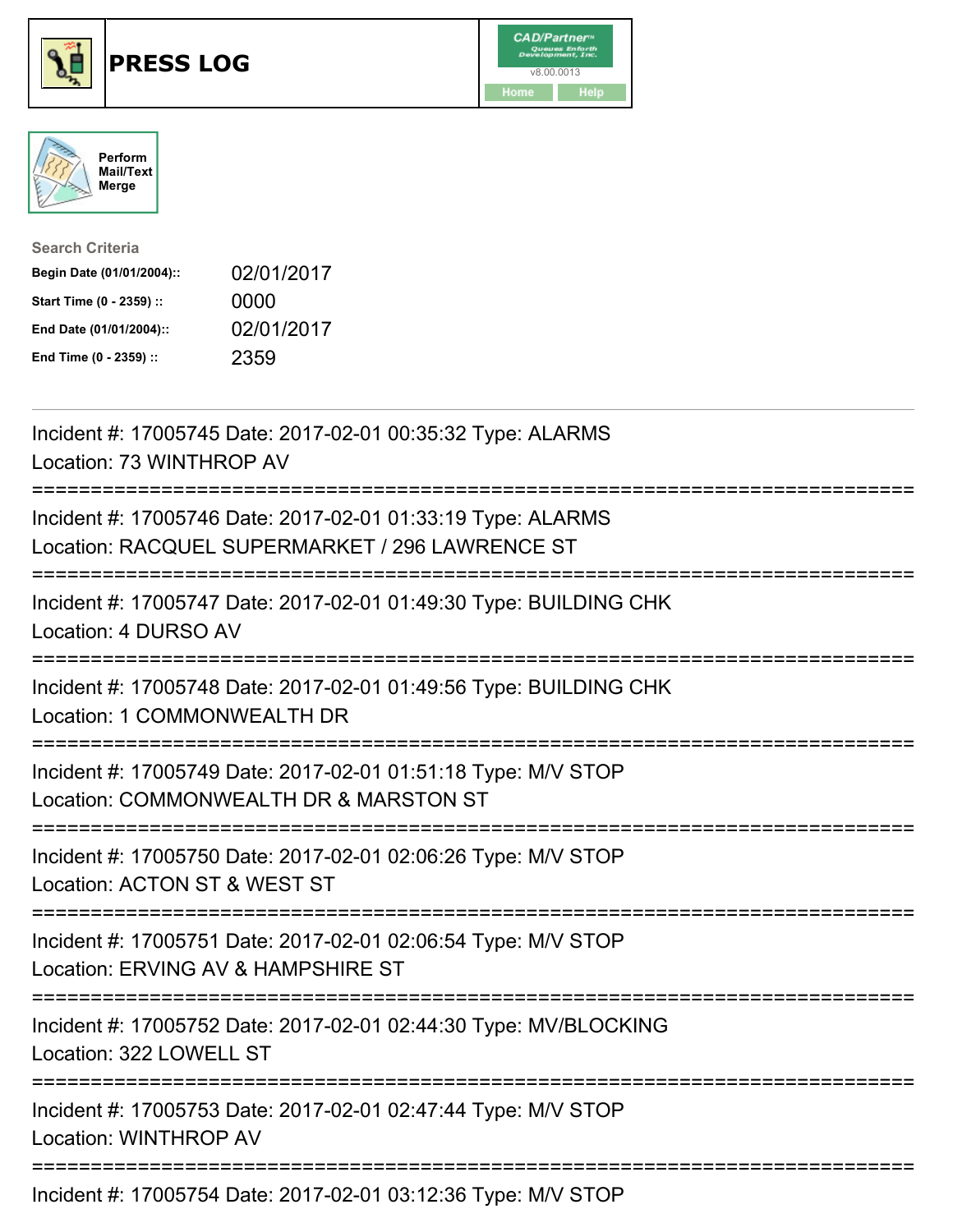





| <b>Search Criteria</b>    |            |
|---------------------------|------------|
| Begin Date (01/01/2004):: | 02/01/2017 |
| Start Time (0 - 2359) ::  | 0000       |
| End Date (01/01/2004)::   | 02/01/2017 |
| End Time (0 - 2359) ::    | 2359       |

| Incident #: 17005745 Date: 2017-02-01 00:35:32 Type: ALARMS<br>Location: 73 WINTHROP AV                                                    |
|--------------------------------------------------------------------------------------------------------------------------------------------|
| Incident #: 17005746 Date: 2017-02-01 01:33:19 Type: ALARMS<br>Location: RACQUEL SUPERMARKET / 296 LAWRENCE ST<br>======================== |
| Incident #: 17005747 Date: 2017-02-01 01:49:30 Type: BUILDING CHK<br>Location: 4 DURSO AV                                                  |
| Incident #: 17005748 Date: 2017-02-01 01:49:56 Type: BUILDING CHK<br>Location: 1 COMMONWEALTH DR                                           |
| Incident #: 17005749 Date: 2017-02-01 01:51:18 Type: M/V STOP<br>Location: COMMONWEALTH DR & MARSTON ST                                    |
| Incident #: 17005750 Date: 2017-02-01 02:06:26 Type: M/V STOP<br>Location: ACTON ST & WEST ST                                              |
| Incident #: 17005751 Date: 2017-02-01 02:06:54 Type: M/V STOP<br>Location: ERVING AV & HAMPSHIRE ST                                        |
| Incident #: 17005752 Date: 2017-02-01 02:44:30 Type: MV/BLOCKING<br>Location: 322 LOWELL ST                                                |
| Incident #: 17005753 Date: 2017-02-01 02:47:44 Type: M/V STOP<br><b>Location: WINTHROP AV</b>                                              |
| Incident #: 17005754 Date: 2017-02-01 03:12:36 Type: M/V STOP                                                                              |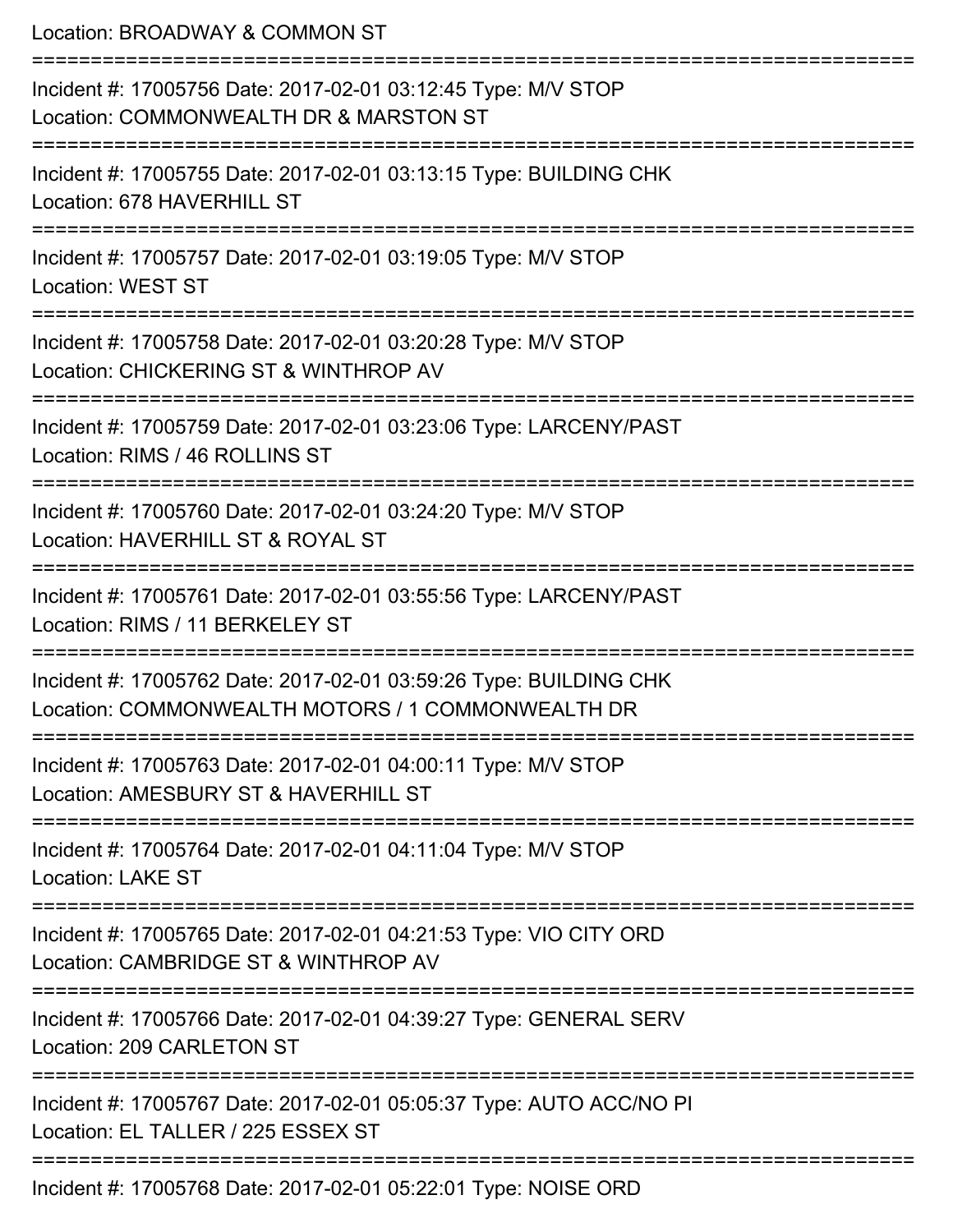| Location: BROADWAY & COMMON ST                                                                                                                 |
|------------------------------------------------------------------------------------------------------------------------------------------------|
| Incident #: 17005756 Date: 2017-02-01 03:12:45 Type: M/V STOP<br>Location: COMMONWEALTH DR & MARSTON ST<br>:=======================            |
| Incident #: 17005755 Date: 2017-02-01 03:13:15 Type: BUILDING CHK<br>Location: 678 HAVERHILL ST                                                |
| Incident #: 17005757 Date: 2017-02-01 03:19:05 Type: M/V STOP<br><b>Location: WEST ST</b>                                                      |
| Incident #: 17005758 Date: 2017-02-01 03:20:28 Type: M/V STOP<br>Location: CHICKERING ST & WINTHROP AV                                         |
| Incident #: 17005759 Date: 2017-02-01 03:23:06 Type: LARCENY/PAST<br>Location: RIMS / 46 ROLLINS ST                                            |
| Incident #: 17005760 Date: 2017-02-01 03:24:20 Type: M/V STOP<br>Location: HAVERHILL ST & ROYAL ST                                             |
| ;====================<br>Incident #: 17005761 Date: 2017-02-01 03:55:56 Type: LARCENY/PAST<br>Location: RIMS / 11 BERKELEY ST                  |
| Incident #: 17005762 Date: 2017-02-01 03:59:26 Type: BUILDING CHK<br>Location: COMMONWEALTH MOTORS / 1 COMMONWEALTH DR                         |
| =====================================<br>Incident #: 17005763 Date: 2017-02-01 04:00:11 Type: M/V STOP<br>Location: AMESBURY ST & HAVERHILL ST |
| Incident #: 17005764 Date: 2017-02-01 04:11:04 Type: M/V STOP<br><b>Location: LAKE ST</b>                                                      |
| Incident #: 17005765 Date: 2017-02-01 04:21:53 Type: VIO CITY ORD<br>Location: CAMBRIDGE ST & WINTHROP AV                                      |
| Incident #: 17005766 Date: 2017-02-01 04:39:27 Type: GENERAL SERV<br>Location: 209 CARLETON ST                                                 |
| Incident #: 17005767 Date: 2017-02-01 05:05:37 Type: AUTO ACC/NO PI<br>Location: EL TALLER / 225 ESSEX ST                                      |
| $-700 D_{11}$ , $0047.00 A$ , $04.0500 A$ , $T_{11}$ , $M$                                                                                     |

Incident #: 17005768 Date: 2017-02-01 05:22:01 Type: NOISE ORD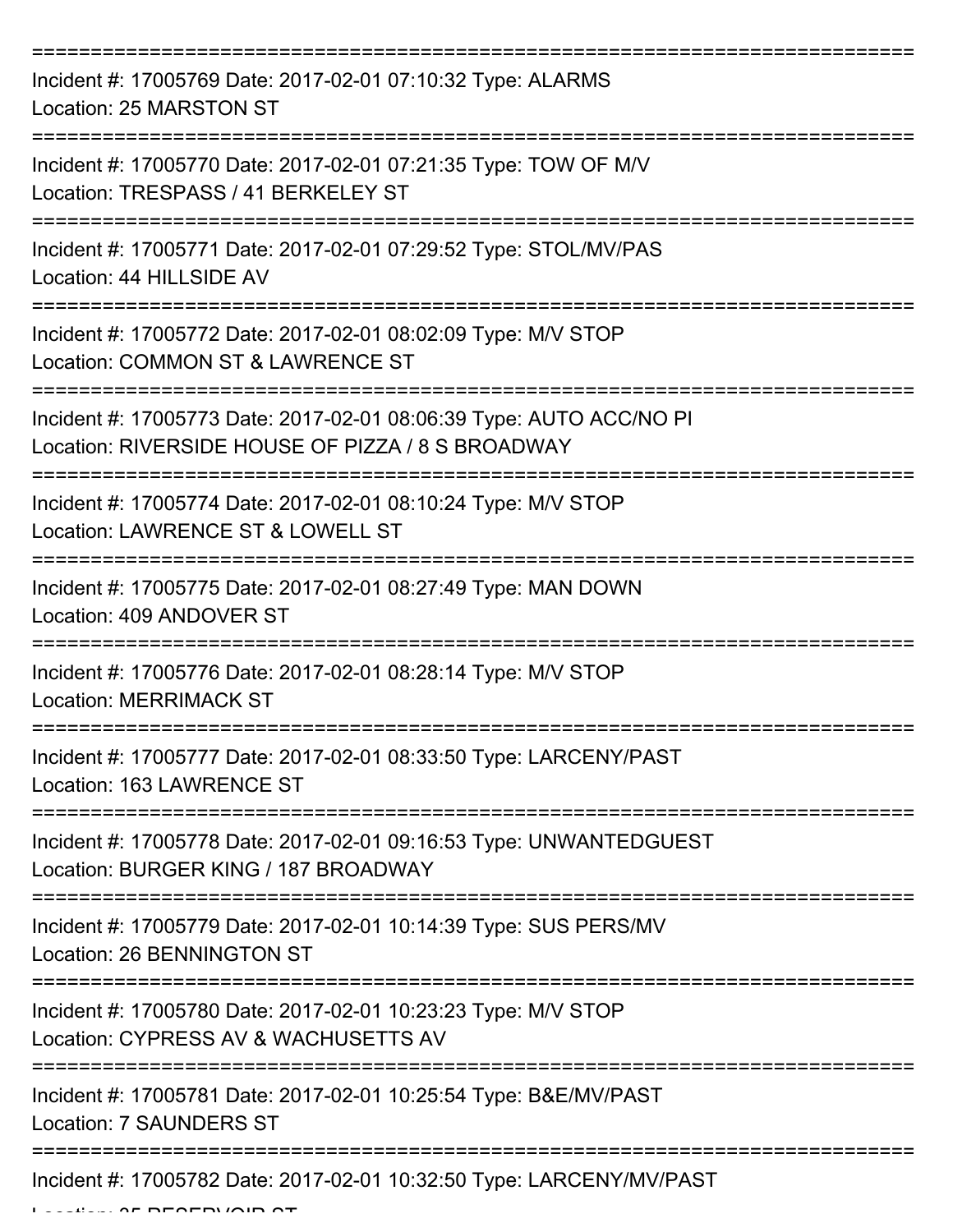| Incident #: 17005769 Date: 2017-02-01 07:10:32 Type: ALARMS<br>Location: 25 MARSTON ST                                   |
|--------------------------------------------------------------------------------------------------------------------------|
| Incident #: 17005770 Date: 2017-02-01 07:21:35 Type: TOW OF M/V<br>Location: TRESPASS / 41 BERKELEY ST                   |
| Incident #: 17005771 Date: 2017-02-01 07:29:52 Type: STOL/MV/PAS<br>Location: 44 HILLSIDE AV                             |
| Incident #: 17005772 Date: 2017-02-01 08:02:09 Type: M/V STOP<br>Location: COMMON ST & LAWRENCE ST                       |
| Incident #: 17005773 Date: 2017-02-01 08:06:39 Type: AUTO ACC/NO PI<br>Location: RIVERSIDE HOUSE OF PIZZA / 8 S BROADWAY |
| Incident #: 17005774 Date: 2017-02-01 08:10:24 Type: M/V STOP<br>Location: LAWRENCE ST & LOWELL ST                       |
| Incident #: 17005775 Date: 2017-02-01 08:27:49 Type: MAN DOWN<br>Location: 409 ANDOVER ST                                |
| Incident #: 17005776 Date: 2017-02-01 08:28:14 Type: M/V STOP<br><b>Location: MERRIMACK ST</b>                           |
| Incident #: 17005777 Date: 2017-02-01 08:33:50 Type: LARCENY/PAST<br>Location: 163 LAWRENCE ST                           |
| Incident #: 17005778 Date: 2017-02-01 09:16:53 Type: UNWANTEDGUEST<br>Location: BURGER KING / 187 BROADWAY               |
| Incident #: 17005779 Date: 2017-02-01 10:14:39 Type: SUS PERS/MV<br>Location: 26 BENNINGTON ST                           |
| Incident #: 17005780 Date: 2017-02-01 10:23:23 Type: M/V STOP<br>Location: CYPRESS AV & WACHUSETTS AV                    |
| Incident #: 17005781 Date: 2017-02-01 10:25:54 Type: B&E/MV/PAST<br><b>Location: 7 SAUNDERS ST</b>                       |
| Incident #: 17005782 Date: 2017-02-01 10:32:50 Type: LARCENY/MV/PAST                                                     |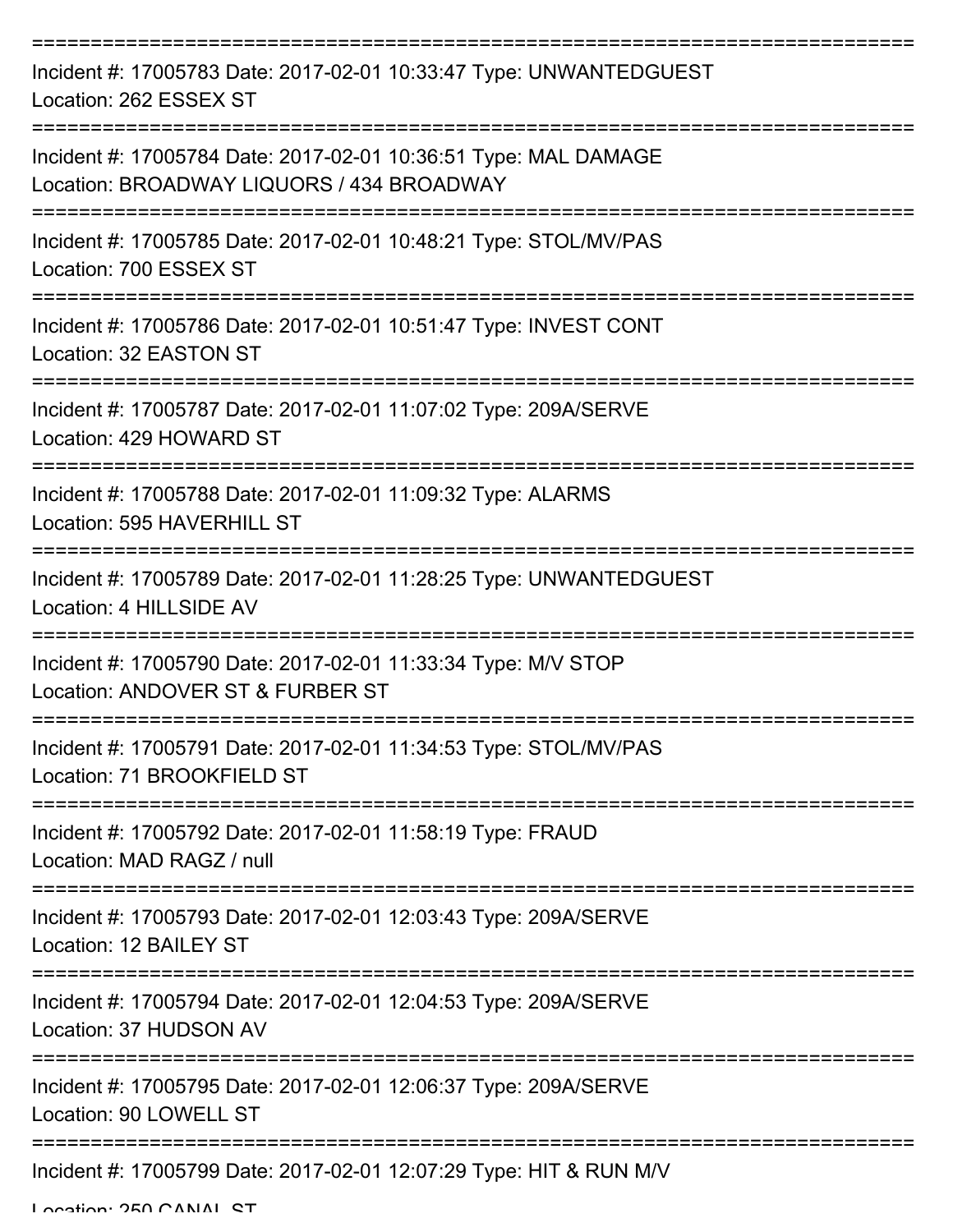| Incident #: 17005783 Date: 2017-02-01 10:33:47 Type: UNWANTEDGUEST<br>Location: 262 ESSEX ST                 |
|--------------------------------------------------------------------------------------------------------------|
| Incident #: 17005784 Date: 2017-02-01 10:36:51 Type: MAL DAMAGE<br>Location: BROADWAY LIQUORS / 434 BROADWAY |
| Incident #: 17005785 Date: 2017-02-01 10:48:21 Type: STOL/MV/PAS<br>Location: 700 ESSEX ST                   |
| Incident #: 17005786 Date: 2017-02-01 10:51:47 Type: INVEST CONT<br>Location: 32 EASTON ST                   |
| Incident #: 17005787 Date: 2017-02-01 11:07:02 Type: 209A/SERVE<br>Location: 429 HOWARD ST                   |
| Incident #: 17005788 Date: 2017-02-01 11:09:32 Type: ALARMS<br>Location: 595 HAVERHILL ST                    |
| Incident #: 17005789 Date: 2017-02-01 11:28:25 Type: UNWANTEDGUEST<br>Location: 4 HILLSIDE AV                |
| Incident #: 17005790 Date: 2017-02-01 11:33:34 Type: M/V STOP<br>Location: ANDOVER ST & FURBER ST            |
| Incident #: 17005791 Date: 2017-02-01 11:34:53 Type: STOL/MV/PAS<br>Location: 71 BROOKFIELD ST               |
| Incident #: 17005792 Date: 2017-02-01 11:58:19 Type: FRAUD<br>Location: MAD RAGZ / null                      |
| Incident #: 17005793 Date: 2017-02-01 12:03:43 Type: 209A/SERVE<br>Location: 12 BAILEY ST                    |
| Incident #: 17005794 Date: 2017-02-01 12:04:53 Type: 209A/SERVE<br>Location: 37 HUDSON AV                    |
| Incident #: 17005795 Date: 2017-02-01 12:06:37 Type: 209A/SERVE<br>Location: 90 LOWELL ST                    |
| Incident #: 17005799 Date: 2017-02-01 12:07:29 Type: HIT & RUN M/V                                           |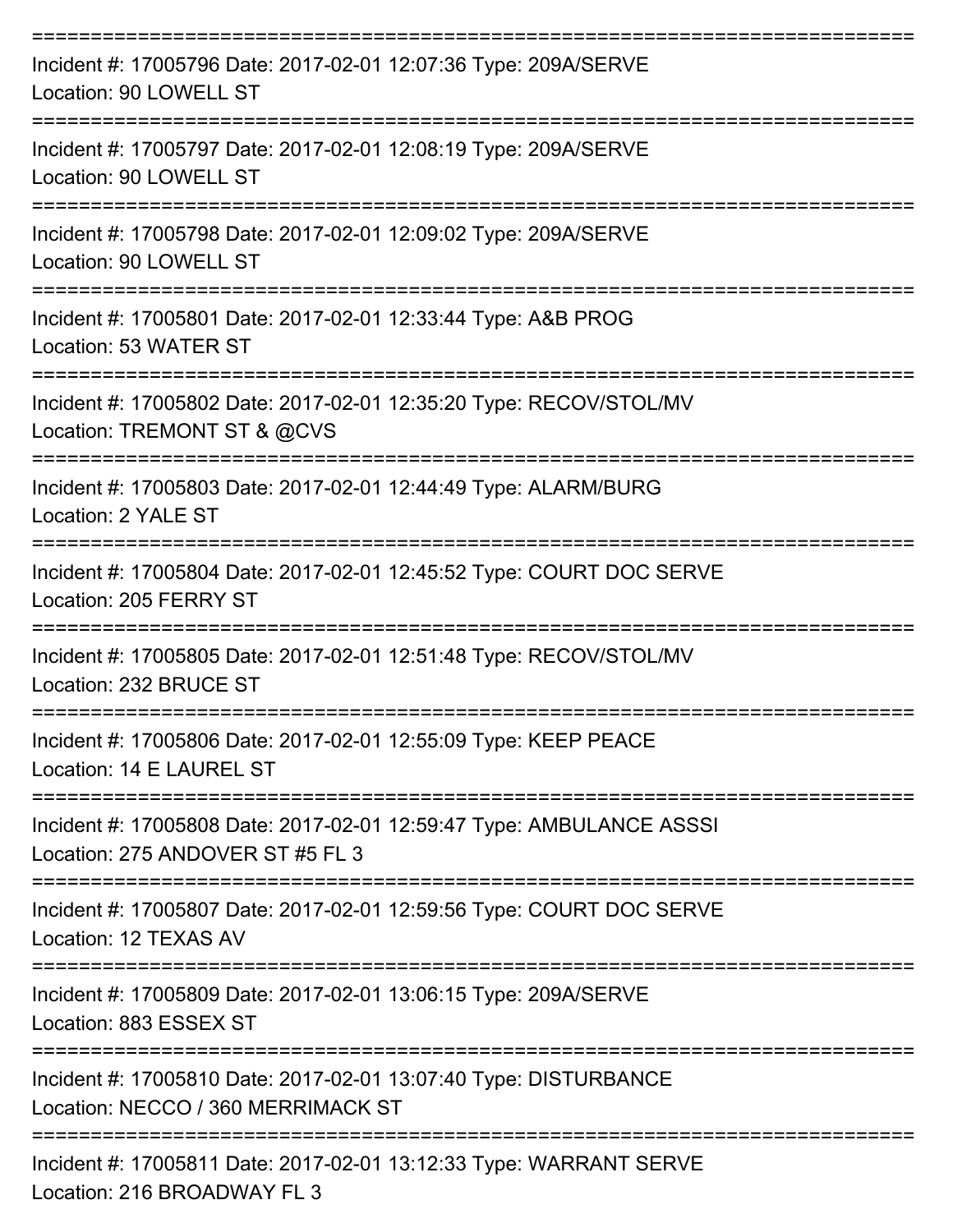| Incident #: 17005796 Date: 2017-02-01 12:07:36 Type: 209A/SERVE<br>Location: 90 LOWELL ST                |
|----------------------------------------------------------------------------------------------------------|
| Incident #: 17005797 Date: 2017-02-01 12:08:19 Type: 209A/SERVE<br>Location: 90 LOWELL ST                |
| Incident #: 17005798 Date: 2017-02-01 12:09:02 Type: 209A/SERVE<br>Location: 90 LOWELL ST                |
| Incident #: 17005801 Date: 2017-02-01 12:33:44 Type: A&B PROG<br>Location: 53 WATER ST                   |
| Incident #: 17005802 Date: 2017-02-01 12:35:20 Type: RECOV/STOL/MV<br>Location: TREMONT ST & @CVS        |
| Incident #: 17005803 Date: 2017-02-01 12:44:49 Type: ALARM/BURG<br>Location: 2 YALE ST                   |
| Incident #: 17005804 Date: 2017-02-01 12:45:52 Type: COURT DOC SERVE<br>Location: 205 FERRY ST           |
| Incident #: 17005805 Date: 2017-02-01 12:51:48 Type: RECOV/STOL/MV<br>Location: 232 BRUCE ST             |
| Incident #: 17005806 Date: 2017-02-01 12:55:09 Type: KEEP PEACE<br>Location: 14 E LAUREL ST              |
| Incident #: 17005808 Date: 2017-02-01 12:59:47 Type: AMBULANCE ASSSI<br>Location: 275 ANDOVER ST #5 FL 3 |
| Incident #: 17005807 Date: 2017-02-01 12:59:56 Type: COURT DOC SERVE<br>Location: 12 TEXAS AV            |
| Incident #: 17005809 Date: 2017-02-01 13:06:15 Type: 209A/SERVE<br>Location: 883 ESSEX ST                |
| Incident #: 17005810 Date: 2017-02-01 13:07:40 Type: DISTURBANCE<br>Location: NECCO / 360 MERRIMACK ST   |
| Incident #: 17005811 Date: 2017-02-01 13:12:33 Type: WARRANT SERVE                                       |

Location: 216 BROADWAY FL 3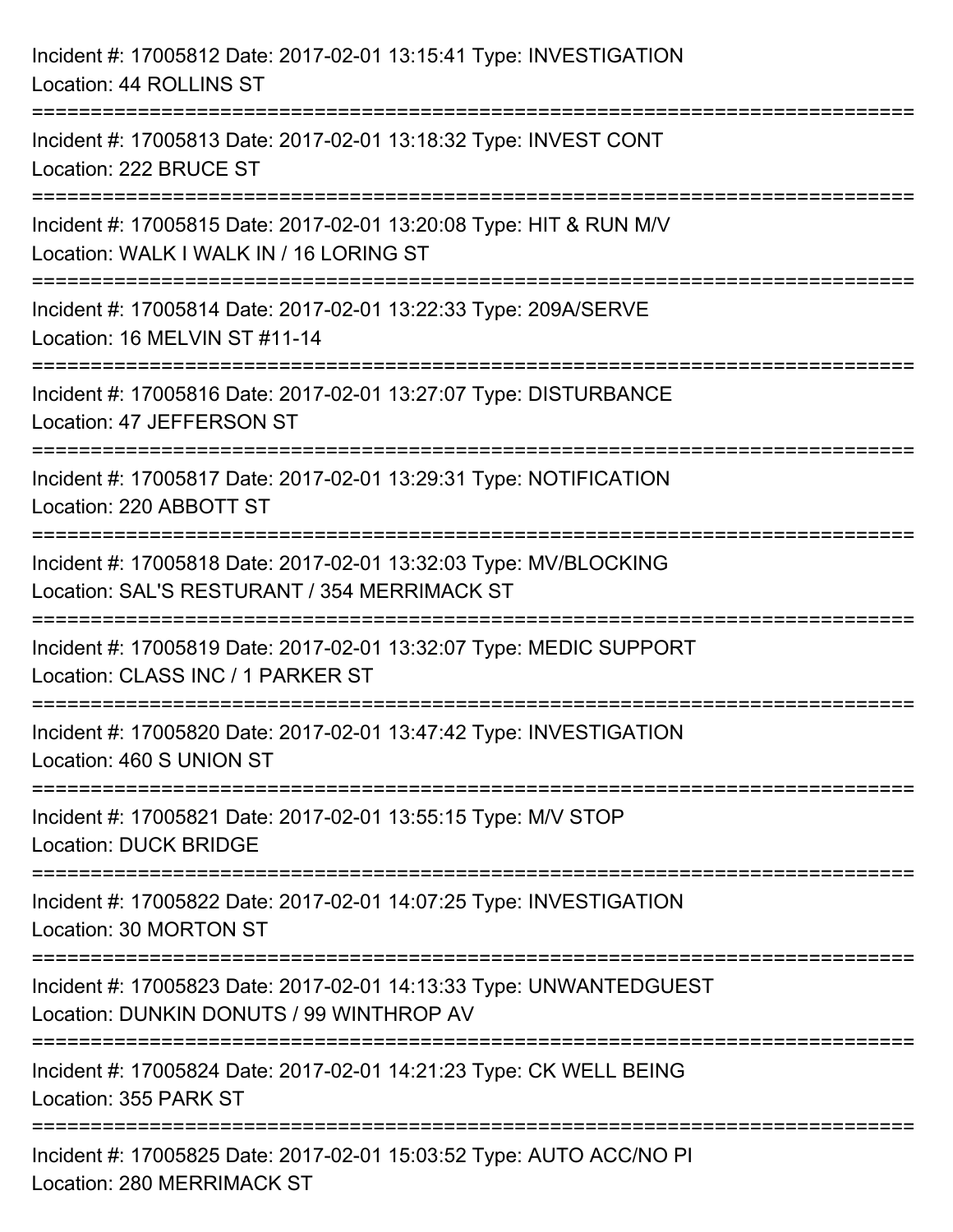| Incident #: 17005812 Date: 2017-02-01 13:15:41 Type: INVESTIGATION<br>Location: 44 ROLLINS ST                                                                           |
|-------------------------------------------------------------------------------------------------------------------------------------------------------------------------|
| =====================================<br>Incident #: 17005813 Date: 2017-02-01 13:18:32 Type: INVEST CONT<br>Location: 222 BRUCE ST<br>===================              |
| Incident #: 17005815 Date: 2017-02-01 13:20:08 Type: HIT & RUN M/V<br>Location: WALK I WALK IN / 16 LORING ST                                                           |
| Incident #: 17005814 Date: 2017-02-01 13:22:33 Type: 209A/SERVE<br>Location: 16 MELVIN ST #11-14                                                                        |
| Incident #: 17005816 Date: 2017-02-01 13:27:07 Type: DISTURBANCE<br>Location: 47 JEFFERSON ST                                                                           |
| Incident #: 17005817 Date: 2017-02-01 13:29:31 Type: NOTIFICATION<br>Location: 220 ABBOTT ST                                                                            |
| <u> ----------------</u><br>-----------------------<br>Incident #: 17005818 Date: 2017-02-01 13:32:03 Type: MV/BLOCKING<br>Location: SAL'S RESTURANT / 354 MERRIMACK ST |
| Incident #: 17005819 Date: 2017-02-01 13:32:07 Type: MEDIC SUPPORT<br>Location: CLASS INC / 1 PARKER ST                                                                 |
| Incident #: 17005820 Date: 2017-02-01 13:47:42 Type: INVESTIGATION<br>Location: 460 S UNION ST                                                                          |
| Incident #: 17005821 Date: 2017-02-01 13:55:15 Type: M/V STOP<br><b>Location: DUCK BRIDGE</b>                                                                           |
| Incident #: 17005822 Date: 2017-02-01 14:07:25 Type: INVESTIGATION<br>Location: 30 MORTON ST                                                                            |
| Incident #: 17005823 Date: 2017-02-01 14:13:33 Type: UNWANTEDGUEST<br>Location: DUNKIN DONUTS / 99 WINTHROP AV                                                          |
| Incident #: 17005824 Date: 2017-02-01 14:21:23 Type: CK WELL BEING<br>Location: 355 PARK ST                                                                             |
| Incident #: 17005825 Date: 2017-02-01 15:03:52 Type: AUTO ACC/NO PI<br>Location: 280 MERRIMACK ST                                                                       |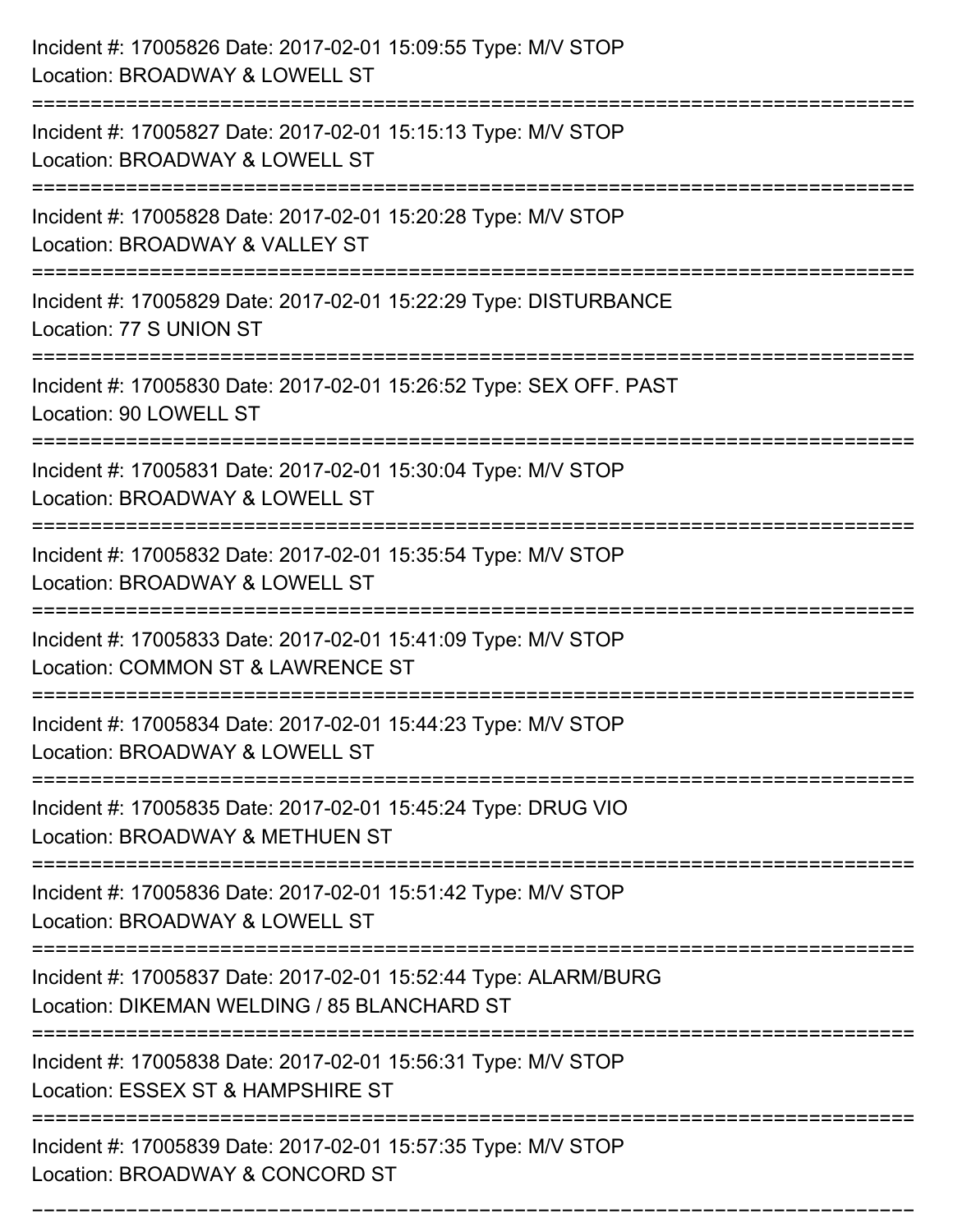| Incident #: 17005826 Date: 2017-02-01 15:09:55 Type: M/V STOP<br>Location: BROADWAY & LOWELL ST                                           |
|-------------------------------------------------------------------------------------------------------------------------------------------|
| Incident #: 17005827 Date: 2017-02-01 15:15:13 Type: M/V STOP<br>Location: BROADWAY & LOWELL ST                                           |
| Incident #: 17005828 Date: 2017-02-01 15:20:28 Type: M/V STOP<br>Location: BROADWAY & VALLEY ST<br>-------------------                    |
| Incident #: 17005829 Date: 2017-02-01 15:22:29 Type: DISTURBANCE<br>Location: 77 S UNION ST                                               |
| Incident #: 17005830 Date: 2017-02-01 15:26:52 Type: SEX OFF. PAST<br>Location: 90 LOWELL ST                                              |
| Incident #: 17005831 Date: 2017-02-01 15:30:04 Type: M/V STOP<br>Location: BROADWAY & LOWELL ST                                           |
| Incident #: 17005832 Date: 2017-02-01 15:35:54 Type: M/V STOP<br>Location: BROADWAY & LOWELL ST                                           |
| Incident #: 17005833 Date: 2017-02-01 15:41:09 Type: M/V STOP<br>Location: COMMON ST & LAWRENCE ST                                        |
| Incident #: 17005834 Date: 2017-02-01 15:44:23 Type: M/V STOP<br>Location: BROADWAY & LOWELL ST                                           |
| Incident #: 17005835 Date: 2017-02-01 15:45:24 Type: DRUG VIO<br>Location: BROADWAY & METHUEN ST<br>------------------------------------- |
| Incident #: 17005836 Date: 2017-02-01 15:51:42 Type: M/V STOP<br>Location: BROADWAY & LOWELL ST                                           |
| Incident #: 17005837 Date: 2017-02-01 15:52:44 Type: ALARM/BURG<br>Location: DIKEMAN WELDING / 85 BLANCHARD ST                            |
| Incident #: 17005838 Date: 2017-02-01 15:56:31 Type: M/V STOP<br>Location: ESSEX ST & HAMPSHIRE ST                                        |
| Incident #: 17005839 Date: 2017-02-01 15:57:35 Type: M/V STOP<br>Location: BROADWAY & CONCORD ST                                          |

===========================================================================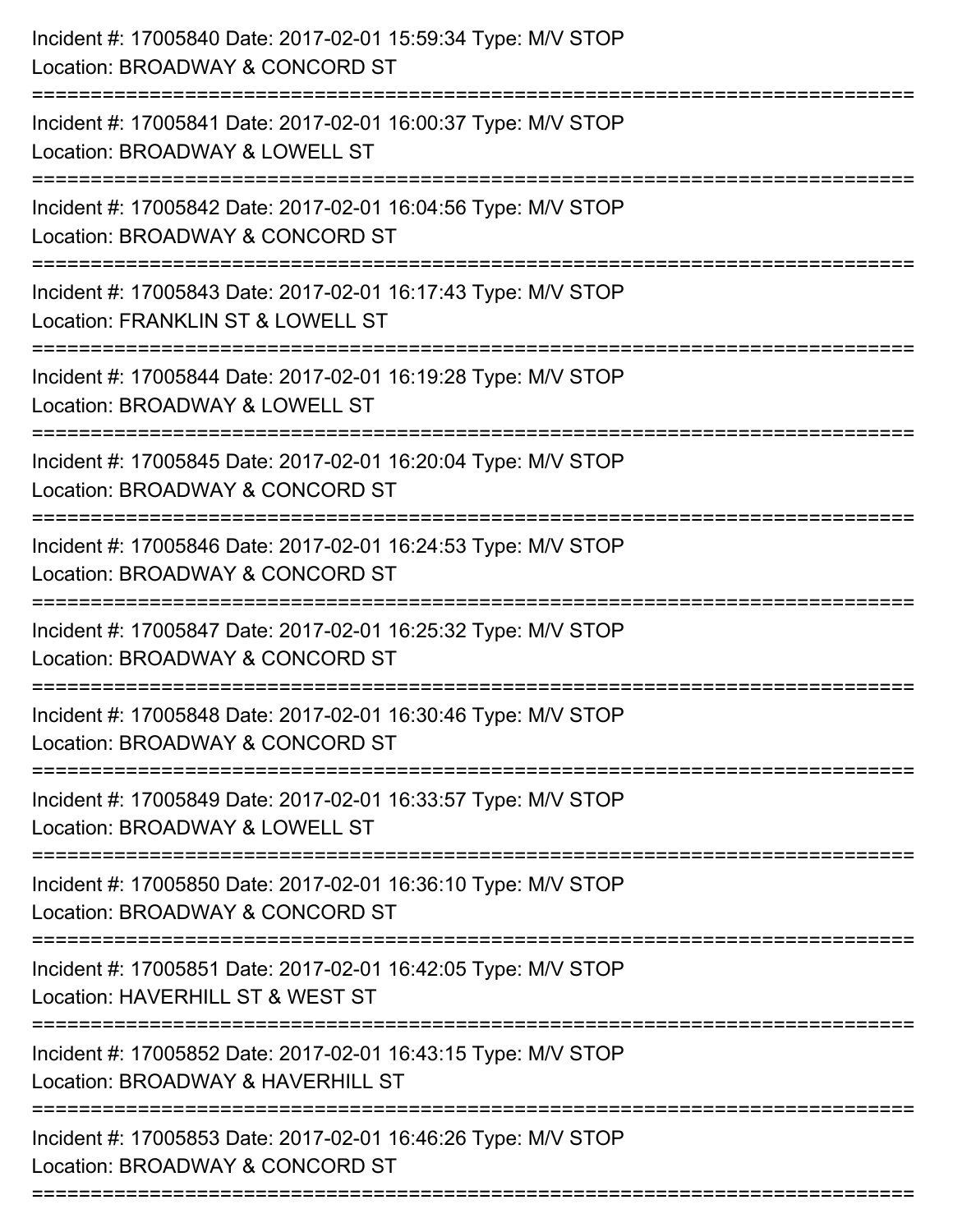| Incident #: 17005840 Date: 2017-02-01 15:59:34 Type: M/V STOP<br>Location: BROADWAY & CONCORD ST                     |
|----------------------------------------------------------------------------------------------------------------------|
| Incident #: 17005841 Date: 2017-02-01 16:00:37 Type: M/V STOP<br>Location: BROADWAY & LOWELL ST                      |
| Incident #: 17005842 Date: 2017-02-01 16:04:56 Type: M/V STOP<br>Location: BROADWAY & CONCORD ST                     |
| Incident #: 17005843 Date: 2017-02-01 16:17:43 Type: M/V STOP<br>Location: FRANKLIN ST & LOWELL ST                   |
| Incident #: 17005844 Date: 2017-02-01 16:19:28 Type: M/V STOP<br>Location: BROADWAY & LOWELL ST<br>================= |
| Incident #: 17005845 Date: 2017-02-01 16:20:04 Type: M/V STOP<br>Location: BROADWAY & CONCORD ST                     |
| Incident #: 17005846 Date: 2017-02-01 16:24:53 Type: M/V STOP<br>Location: BROADWAY & CONCORD ST                     |
| Incident #: 17005847 Date: 2017-02-01 16:25:32 Type: M/V STOP<br>Location: BROADWAY & CONCORD ST                     |
| Incident #: 17005848 Date: 2017-02-01 16:30:46 Type: M/V STOP<br>Location: BROADWAY & CONCORD ST                     |
| Incident #: 17005849 Date: 2017-02-01 16:33:57 Type: M/V STOP<br>Location: BROADWAY & LOWELL ST                      |
| Incident #: 17005850 Date: 2017-02-01 16:36:10 Type: M/V STOP<br>Location: BROADWAY & CONCORD ST                     |
| Incident #: 17005851 Date: 2017-02-01 16:42:05 Type: M/V STOP<br>Location: HAVERHILL ST & WEST ST                    |
| Incident #: 17005852 Date: 2017-02-01 16:43:15 Type: M/V STOP<br>Location: BROADWAY & HAVERHILL ST                   |
| Incident #: 17005853 Date: 2017-02-01 16:46:26 Type: M/V STOP<br>Location: BROADWAY & CONCORD ST                     |
|                                                                                                                      |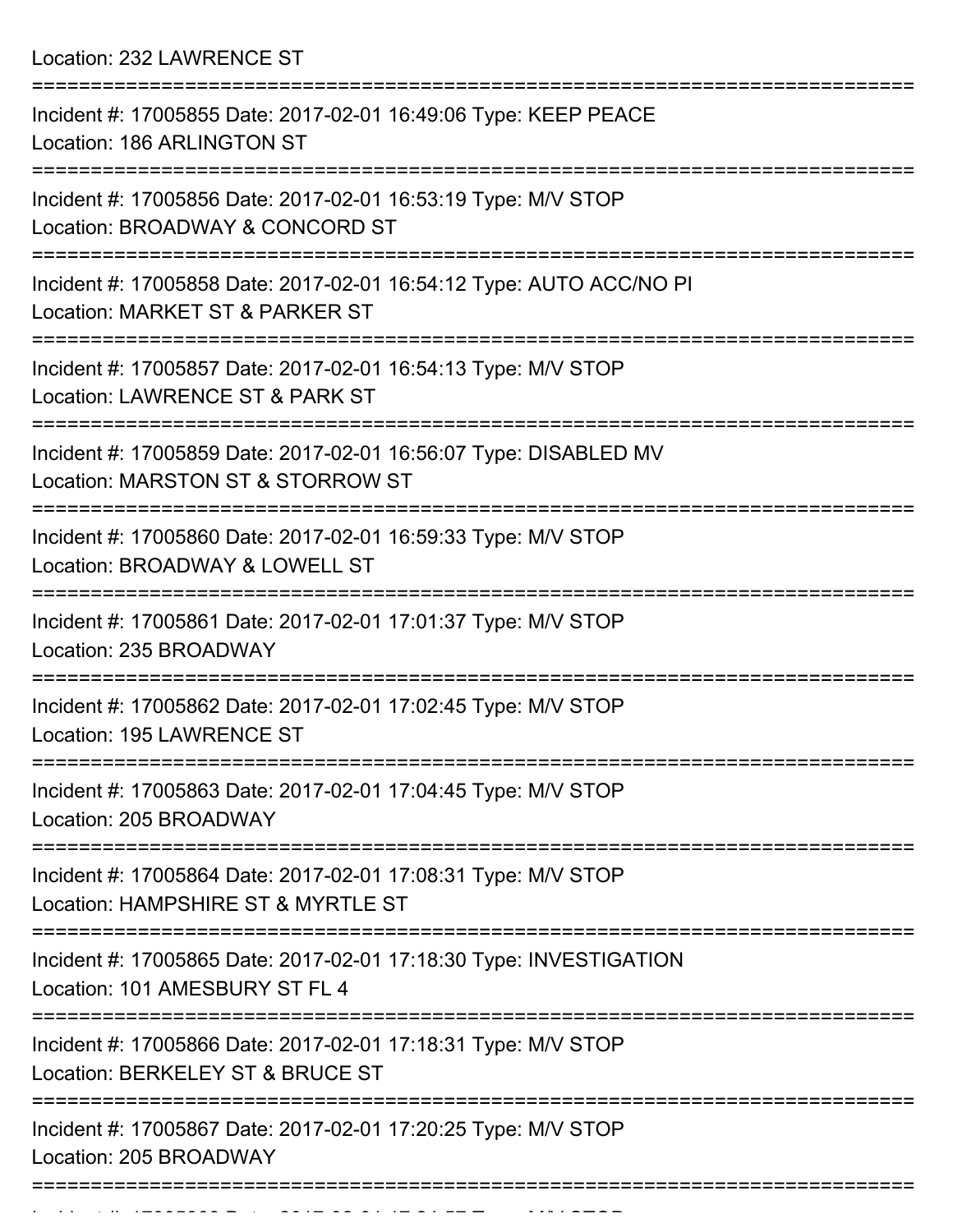Location: 232 LAWRENCE ST

| Incident #: 17005855 Date: 2017-02-01 16:49:06 Type: KEEP PEACE<br>Location: 186 ARLINGTON ST                                |
|------------------------------------------------------------------------------------------------------------------------------|
| Incident #: 17005856 Date: 2017-02-01 16:53:19 Type: M/V STOP<br>Location: BROADWAY & CONCORD ST                             |
| Incident #: 17005858 Date: 2017-02-01 16:54:12 Type: AUTO ACC/NO PI<br>Location: MARKET ST & PARKER ST                       |
| Incident #: 17005857 Date: 2017-02-01 16:54:13 Type: M/V STOP<br>Location: LAWRENCE ST & PARK ST                             |
| Incident #: 17005859 Date: 2017-02-01 16:56:07 Type: DISABLED MV<br>Location: MARSTON ST & STORROW ST<br>=================== |
| Incident #: 17005860 Date: 2017-02-01 16:59:33 Type: M/V STOP<br>Location: BROADWAY & LOWELL ST                              |
| Incident #: 17005861 Date: 2017-02-01 17:01:37 Type: M/V STOP<br>Location: 235 BROADWAY                                      |
| Incident #: 17005862 Date: 2017-02-01 17:02:45 Type: M/V STOP<br>Location: 195 LAWRENCE ST                                   |
| Incident #: 17005863 Date: 2017-02-01 17:04:45 Type: M/V STOP<br>Location: 205 BROADWAY                                      |
| :===================<br>Incident #: 17005864 Date: 2017-02-01 17:08:31 Type: M/V STOP<br>Location: HAMPSHIRE ST & MYRTLE ST  |
| Incident #: 17005865 Date: 2017-02-01 17:18:30 Type: INVESTIGATION<br>Location: 101 AMESBURY ST FL 4                         |
| Incident #: 17005866 Date: 2017-02-01 17:18:31 Type: M/V STOP<br>Location: BERKELEY ST & BRUCE ST                            |
| Incident #: 17005867 Date: 2017-02-01 17:20:25 Type: M/V STOP<br>Location: 205 BROADWAY                                      |
|                                                                                                                              |

Incident #: 17005868 Date: 2017 02 01 17:24:57 Type: M/V STOP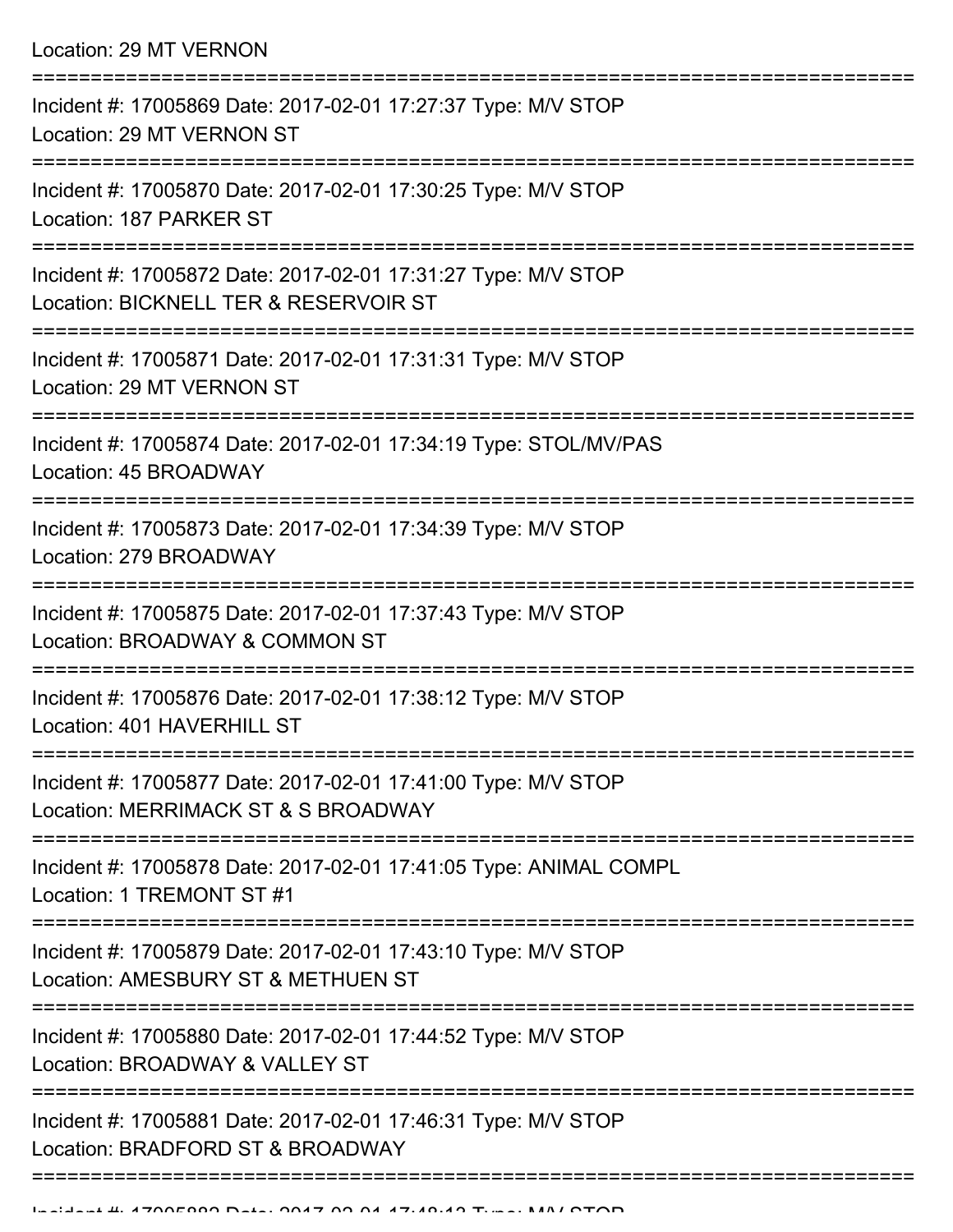Location: 29 MT VERNON

| Incident #: 17005869 Date: 2017-02-01 17:27:37 Type: M/V STOP<br>Location: 29 MT VERNON ST             |
|--------------------------------------------------------------------------------------------------------|
| Incident #: 17005870 Date: 2017-02-01 17:30:25 Type: M/V STOP<br>Location: 187 PARKER ST               |
| Incident #: 17005872 Date: 2017-02-01 17:31:27 Type: M/V STOP<br>Location: BICKNELL TER & RESERVOIR ST |
| Incident #: 17005871 Date: 2017-02-01 17:31:31 Type: M/V STOP<br>Location: 29 MT VERNON ST             |
| Incident #: 17005874 Date: 2017-02-01 17:34:19 Type: STOL/MV/PAS<br>Location: 45 BROADWAY              |
| Incident #: 17005873 Date: 2017-02-01 17:34:39 Type: M/V STOP<br>Location: 279 BROADWAY                |
| Incident #: 17005875 Date: 2017-02-01 17:37:43 Type: M/V STOP<br>Location: BROADWAY & COMMON ST        |
| Incident #: 17005876 Date: 2017-02-01 17:38:12 Type: M/V STOP<br>Location: 401 HAVERHILL ST            |
| Incident #: 17005877 Date: 2017-02-01 17:41:00 Type: M/V STOP<br>Location: MERRIMACK ST & S BROADWAY   |
| Incident #: 17005878 Date: 2017-02-01 17:41:05 Type: ANIMAL COMPL<br>Location: 1 TREMONT ST #1         |
| Incident #: 17005879 Date: 2017-02-01 17:43:10 Type: M/V STOP<br>Location: AMESBURY ST & METHUEN ST    |
| Incident #: 17005880 Date: 2017-02-01 17:44:52 Type: M/V STOP<br>Location: BROADWAY & VALLEY ST        |
| Incident #: 17005881 Date: 2017-02-01 17:46:31 Type: M/V STOP<br>Location: BRADFORD ST & BROADWAY      |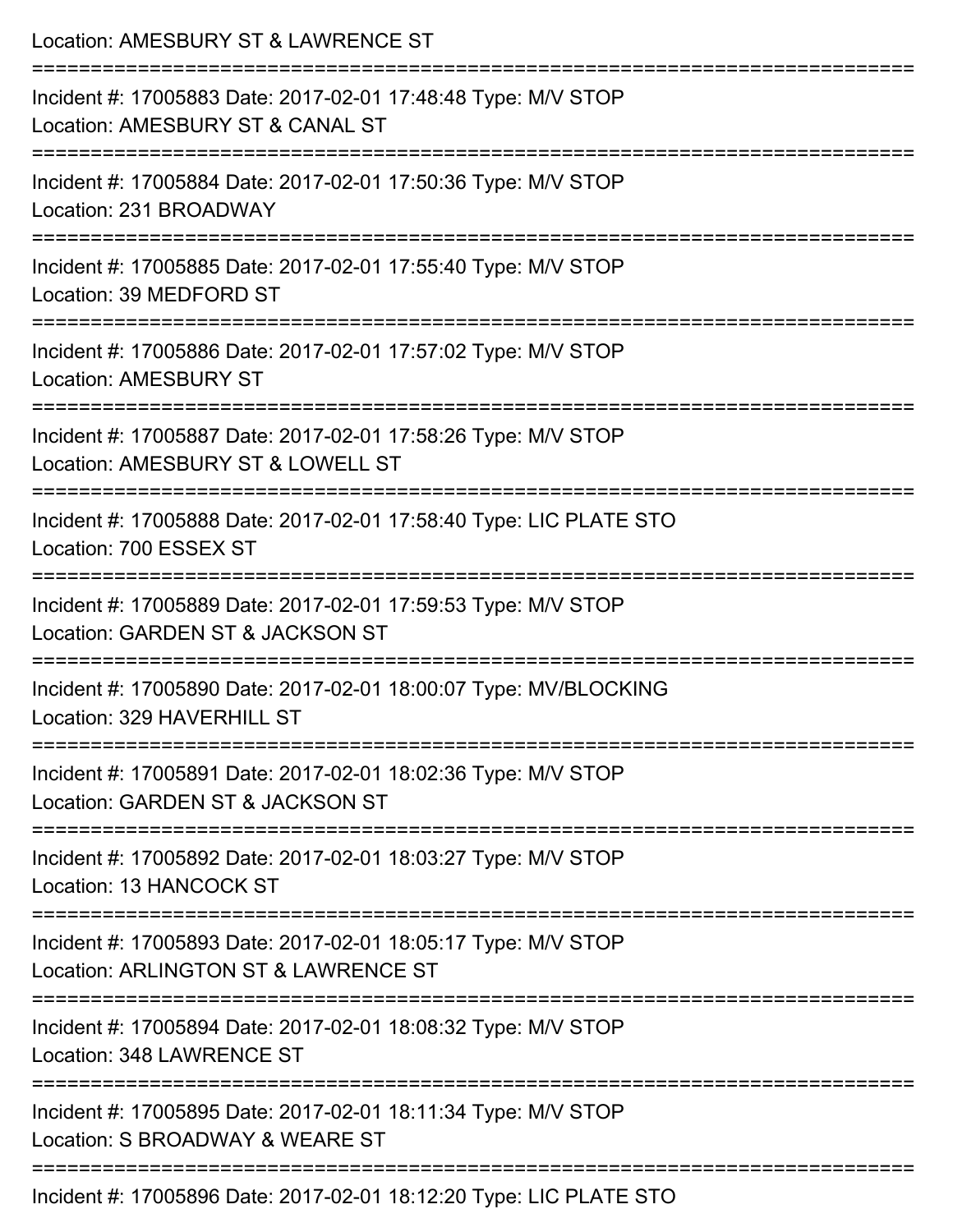| Location: AMESBURY ST & LAWRENCE ST<br>=================<br>--------------------------                |
|-------------------------------------------------------------------------------------------------------|
| Incident #: 17005883 Date: 2017-02-01 17:48:48 Type: M/V STOP<br>Location: AMESBURY ST & CANAL ST     |
| Incident #: 17005884 Date: 2017-02-01 17:50:36 Type: M/V STOP<br>Location: 231 BROADWAY               |
| Incident #: 17005885 Date: 2017-02-01 17:55:40 Type: M/V STOP<br>Location: 39 MEDFORD ST              |
| Incident #: 17005886 Date: 2017-02-01 17:57:02 Type: M/V STOP<br><b>Location: AMESBURY ST</b>         |
| Incident #: 17005887 Date: 2017-02-01 17:58:26 Type: M/V STOP<br>Location: AMESBURY ST & LOWELL ST    |
| Incident #: 17005888 Date: 2017-02-01 17:58:40 Type: LIC PLATE STO<br>Location: 700 ESSEX ST          |
| Incident #: 17005889 Date: 2017-02-01 17:59:53 Type: M/V STOP<br>Location: GARDEN ST & JACKSON ST     |
| Incident #: 17005890 Date: 2017-02-01 18:00:07 Type: MV/BLOCKING<br>Location: 329 HAVERHILL ST        |
| Incident #: 17005891 Date: 2017-02-01 18:02:36 Type: M/V STOP<br>Location: GARDEN ST & JACKSON ST     |
| Incident #: 17005892 Date: 2017-02-01 18:03:27 Type: M/V STOP<br><b>Location: 13 HANCOCK ST</b>       |
| Incident #: 17005893 Date: 2017-02-01 18:05:17 Type: M/V STOP<br>Location: ARLINGTON ST & LAWRENCE ST |
| Incident #: 17005894 Date: 2017-02-01 18:08:32 Type: M/V STOP<br>Location: 348 LAWRENCE ST            |
| Incident #: 17005895 Date: 2017-02-01 18:11:34 Type: M/V STOP<br>Location: S BROADWAY & WEARE ST      |
| Incident #: 17005896 Date: 2017-02-01 18:12:20 Type: LIC PLATE STO                                    |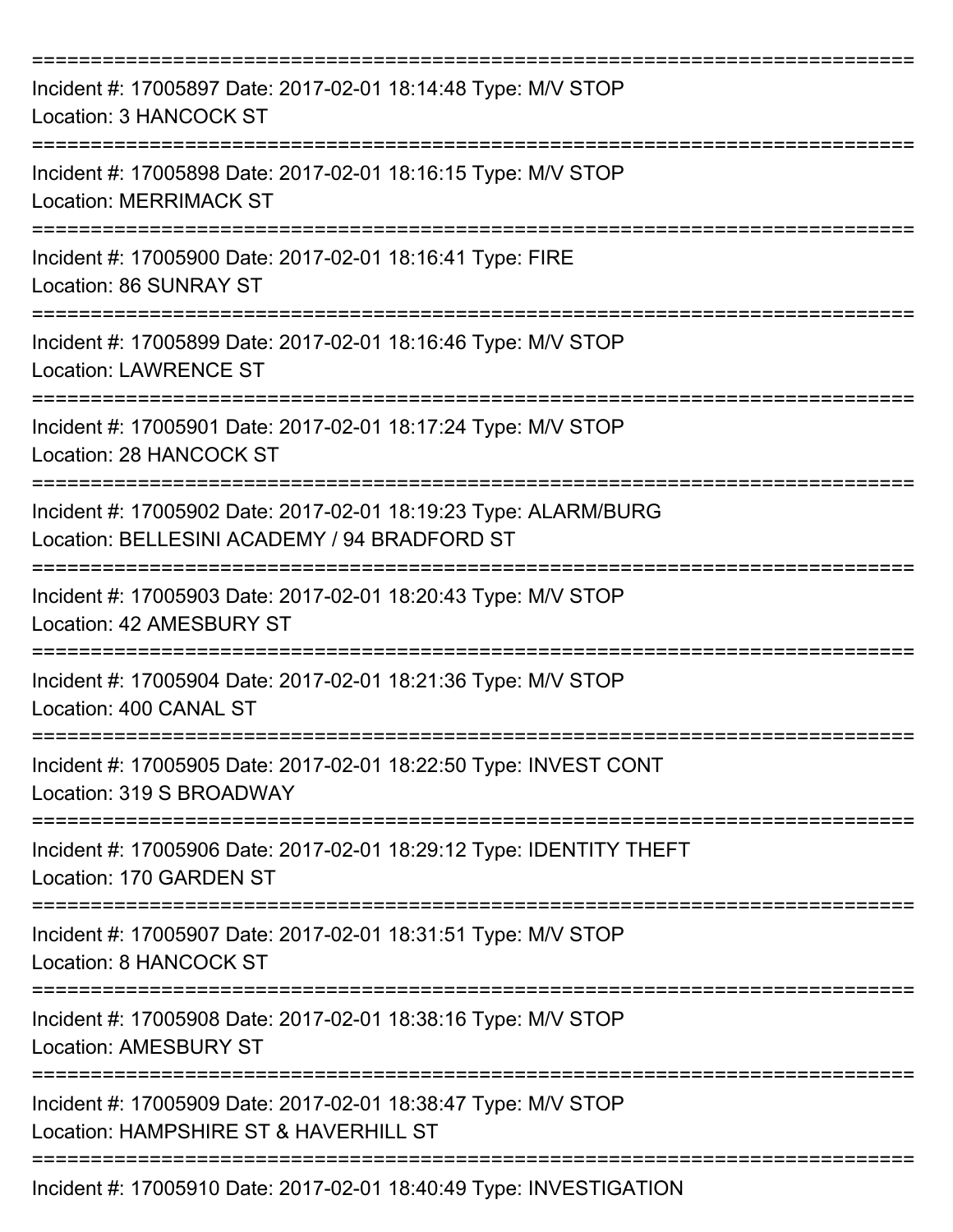| Incident #: 17005897 Date: 2017-02-01 18:14:48 Type: M/V STOP<br>Location: 3 HANCOCK ST                         |
|-----------------------------------------------------------------------------------------------------------------|
| Incident #: 17005898 Date: 2017-02-01 18:16:15 Type: M/V STOP<br><b>Location: MERRIMACK ST</b>                  |
| Incident #: 17005900 Date: 2017-02-01 18:16:41 Type: FIRE<br>Location: 86 SUNRAY ST                             |
| Incident #: 17005899 Date: 2017-02-01 18:16:46 Type: M/V STOP<br><b>Location: LAWRENCE ST</b>                   |
| Incident #: 17005901 Date: 2017-02-01 18:17:24 Type: M/V STOP<br><b>Location: 28 HANCOCK ST</b>                 |
| Incident #: 17005902 Date: 2017-02-01 18:19:23 Type: ALARM/BURG<br>Location: BELLESINI ACADEMY / 94 BRADFORD ST |
| Incident #: 17005903 Date: 2017-02-01 18:20:43 Type: M/V STOP<br>Location: 42 AMESBURY ST<br>===========        |
| Incident #: 17005904 Date: 2017-02-01 18:21:36 Type: M/V STOP<br>Location: 400 CANAL ST                         |
| Incident #: 17005905 Date: 2017-02-01 18:22:50 Type: INVEST CONT<br>Location: 319 S BROADWAY                    |
| Incident #: 17005906 Date: 2017-02-01 18:29:12 Type: IDENTITY THEFT<br>Location: 170 GARDEN ST                  |
| Incident #: 17005907 Date: 2017-02-01 18:31:51 Type: M/V STOP<br>Location: 8 HANCOCK ST                         |
| Incident #: 17005908 Date: 2017-02-01 18:38:16 Type: M/V STOP<br><b>Location: AMESBURY ST</b>                   |
| Incident #: 17005909 Date: 2017-02-01 18:38:47 Type: M/V STOP<br>Location: HAMPSHIRE ST & HAVERHILL ST          |
| Incident #: 17005910 Date: 2017-02-01 18:40:49 Type: INVESTIGATION                                              |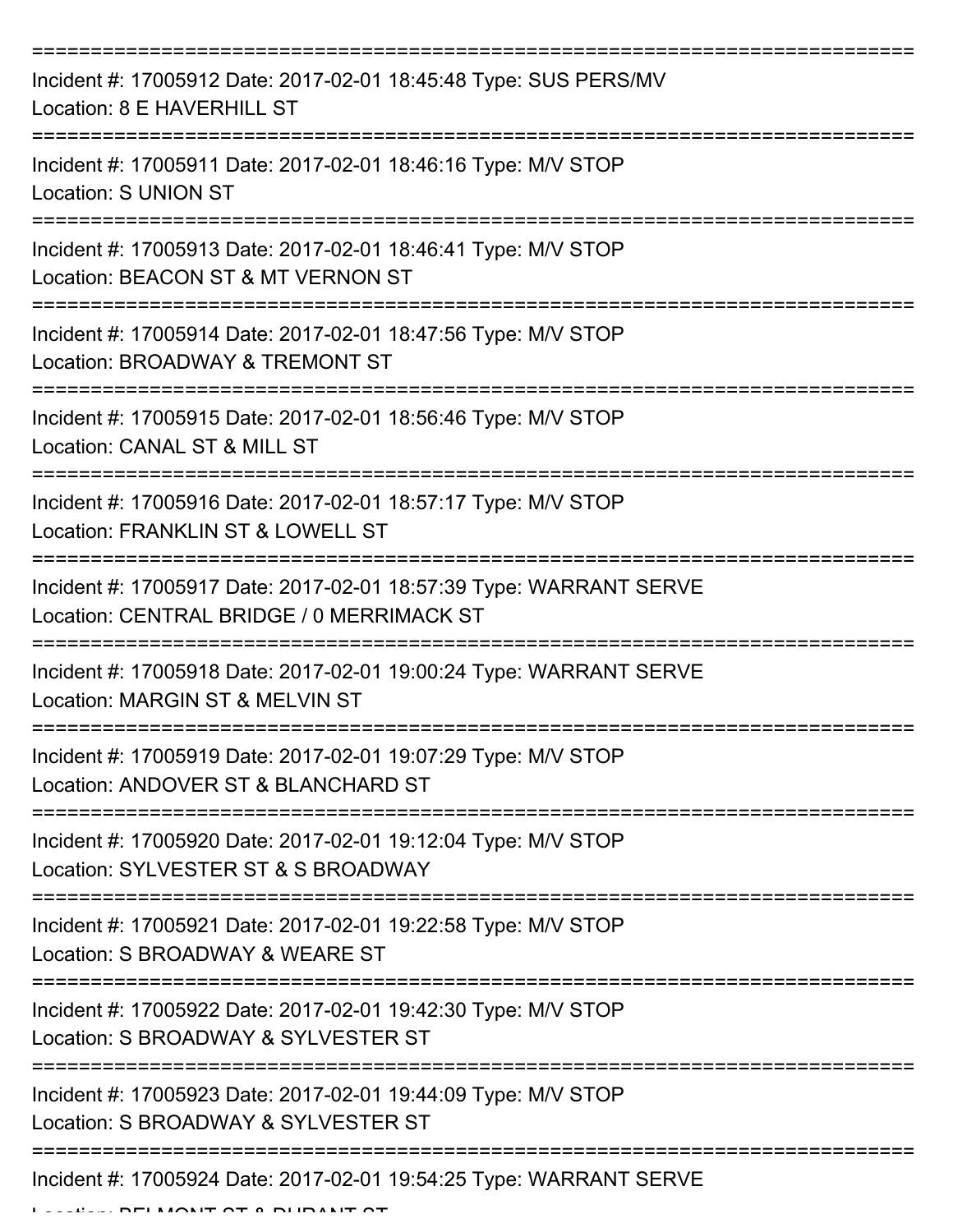| Incident #: 17005912 Date: 2017-02-01 18:45:48 Type: SUS PERS/MV<br>Location: 8 E HAVERHILL ST                                         |
|----------------------------------------------------------------------------------------------------------------------------------------|
| Incident #: 17005911 Date: 2017-02-01 18:46:16 Type: M/V STOP<br><b>Location: S UNION ST</b>                                           |
| Incident #: 17005913 Date: 2017-02-01 18:46:41 Type: M/V STOP<br>Location: BEACON ST & MT VERNON ST                                    |
| Incident #: 17005914 Date: 2017-02-01 18:47:56 Type: M/V STOP<br>Location: BROADWAY & TREMONT ST                                       |
| Incident #: 17005915 Date: 2017-02-01 18:56:46 Type: M/V STOP<br>Location: CANAL ST & MILL ST<br>===================================== |
| Incident #: 17005916 Date: 2017-02-01 18:57:17 Type: M/V STOP<br>Location: FRANKLIN ST & LOWELL ST                                     |
| Incident #: 17005917 Date: 2017-02-01 18:57:39 Type: WARRANT SERVE<br>Location: CENTRAL BRIDGE / 0 MERRIMACK ST                        |
| Incident #: 17005918 Date: 2017-02-01 19:00:24 Type: WARRANT SERVE<br>Location: MARGIN ST & MELVIN ST                                  |
| Incident #: 17005919 Date: 2017-02-01 19:07:29 Type: M/V STOP<br>Location: ANDOVER ST & BLANCHARD ST                                   |
| Incident #: 17005920 Date: 2017-02-01 19:12:04 Type: M/V STOP<br>Location: SYLVESTER ST & S BROADWAY                                   |
| Incident #: 17005921 Date: 2017-02-01 19:22:58 Type: M/V STOP<br>Location: S BROADWAY & WEARE ST                                       |
| Incident #: 17005922 Date: 2017-02-01 19:42:30 Type: M/V STOP<br>Location: S BROADWAY & SYLVESTER ST                                   |
| Incident #: 17005923 Date: 2017-02-01 19:44:09 Type: M/V STOP<br>Location: S BROADWAY & SYLVESTER ST                                   |
| Incident #: 17005924 Date: 2017-02-01 19:54:25 Type: WARRANT SERVE                                                                     |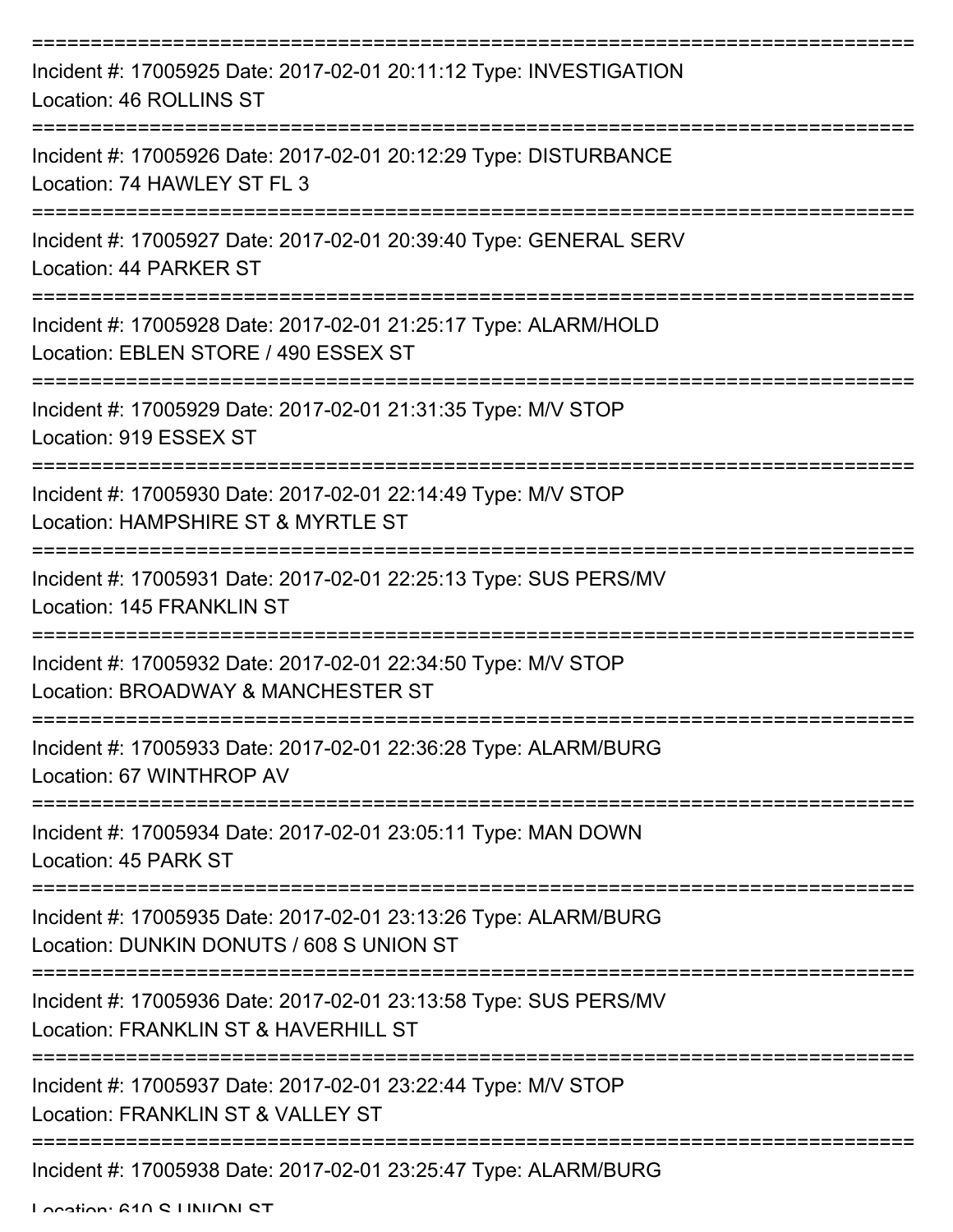| Incident #: 17005925 Date: 2017-02-01 20:11:12 Type: INVESTIGATION<br>Location: 46 ROLLINS ST               |
|-------------------------------------------------------------------------------------------------------------|
| Incident #: 17005926 Date: 2017-02-01 20:12:29 Type: DISTURBANCE<br>Location: 74 HAWLEY ST FL 3             |
| Incident #: 17005927 Date: 2017-02-01 20:39:40 Type: GENERAL SERV<br>Location: 44 PARKER ST                 |
| Incident #: 17005928 Date: 2017-02-01 21:25:17 Type: ALARM/HOLD<br>Location: EBLEN STORE / 490 ESSEX ST     |
| Incident #: 17005929 Date: 2017-02-01 21:31:35 Type: M/V STOP<br>Location: 919 ESSEX ST                     |
| Incident #: 17005930 Date: 2017-02-01 22:14:49 Type: M/V STOP<br>Location: HAMPSHIRE ST & MYRTLE ST         |
| Incident #: 17005931 Date: 2017-02-01 22:25:13 Type: SUS PERS/MV<br>Location: 145 FRANKLIN ST               |
| Incident #: 17005932 Date: 2017-02-01 22:34:50 Type: M/V STOP<br>Location: BROADWAY & MANCHESTER ST         |
| Incident #: 17005933 Date: 2017-02-01 22:36:28 Type: ALARM/BURG<br>Location: 67 WINTHROP AV                 |
| Incident #: 17005934 Date: 2017-02-01 23:05:11 Type: MAN DOWN<br>Location: 45 PARK ST                       |
| Incident #: 17005935 Date: 2017-02-01 23:13:26 Type: ALARM/BURG<br>Location: DUNKIN DONUTS / 608 S UNION ST |
| Incident #: 17005936 Date: 2017-02-01 23:13:58 Type: SUS PERS/MV<br>Location: FRANKLIN ST & HAVERHILL ST    |
| Incident #: 17005937 Date: 2017-02-01 23:22:44 Type: M/V STOP<br>Location: FRANKLIN ST & VALLEY ST          |
| Incident #: 17005938 Date: 2017-02-01 23:25:47 Type: ALARM/BURG                                             |

Location: 610 S LINIION ST